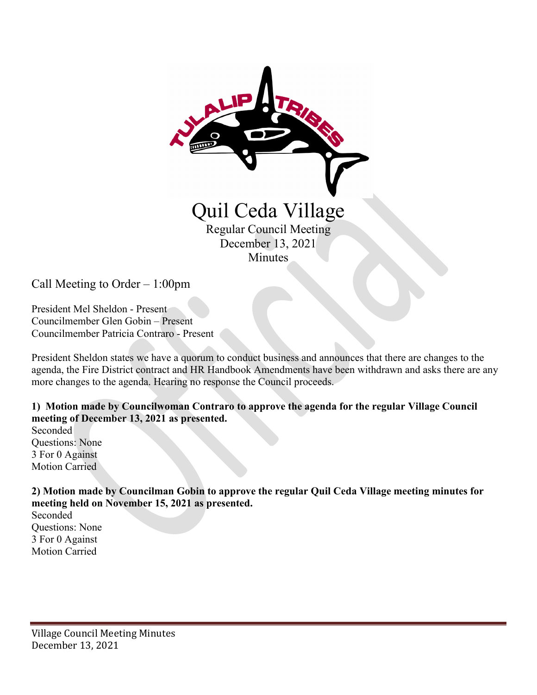

Call Meeting to Order – 1:00pm

President Mel Sheldon - Present Councilmember Glen Gobin – Present Councilmember Patricia Contraro - Present

President Sheldon states we have a quorum to conduct business and announces that there are changes to the agenda, the Fire District contract and HR Handbook Amendments have been withdrawn and asks there are any more changes to the agenda. Hearing no response the Council proceeds.

**1) Motion made by Councilwoman Contraro to approve the agenda for the regular Village Council meeting of December 13, 2021 as presented.**

Seconded Questions: None 3 For 0 Against Motion Carried

**2) Motion made by Councilman Gobin to approve the regular Quil Ceda Village meeting minutes for meeting held on November 15, 2021 as presented.** 

Seconded Questions: None 3 For 0 Against Motion Carried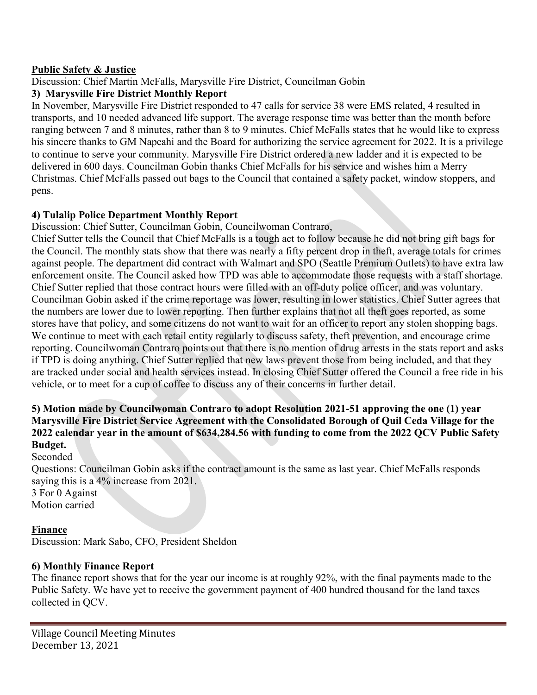### **Public Safety & Justice**

Discussion: Chief Martin McFalls, Marysville Fire District, Councilman Gobin

### **3) Marysville Fire District Monthly Report**

In November, Marysville Fire District responded to 47 calls for service 38 were EMS related, 4 resulted in transports, and 10 needed advanced life support. The average response time was better than the month before ranging between 7 and 8 minutes, rather than 8 to 9 minutes. Chief McFalls states that he would like to express his sincere thanks to GM Napeahi and the Board for authorizing the service agreement for 2022. It is a privilege to continue to serve your community. Marysville Fire District ordered a new ladder and it is expected to be delivered in 600 days. Councilman Gobin thanks Chief McFalls for his service and wishes him a Merry Christmas. Chief McFalls passed out bags to the Council that contained a safety packet, window stoppers, and pens.

### **4) Tulalip Police Department Monthly Report**

Discussion: Chief Sutter, Councilman Gobin, Councilwoman Contraro,

Chief Sutter tells the Council that Chief McFalls is a tough act to follow because he did not bring gift bags for the Council. The monthly stats show that there was nearly a fifty percent drop in theft, average totals for crimes against people. The department did contract with Walmart and SPO (Seattle Premium Outlets) to have extra law enforcement onsite. The Council asked how TPD was able to accommodate those requests with a staff shortage. Chief Sutter replied that those contract hours were filled with an off-duty police officer, and was voluntary. Councilman Gobin asked if the crime reportage was lower, resulting in lower statistics. Chief Sutter agrees that the numbers are lower due to lower reporting. Then further explains that not all theft goes reported, as some stores have that policy, and some citizens do not want to wait for an officer to report any stolen shopping bags. We continue to meet with each retail entity regularly to discuss safety, theft prevention, and encourage crime reporting. Councilwoman Contraro points out that there is no mention of drug arrests in the stats report and asks if TPD is doing anything. Chief Sutter replied that new laws prevent those from being included, and that they are tracked under social and health services instead. In closing Chief Sutter offered the Council a free ride in his vehicle, or to meet for a cup of coffee to discuss any of their concerns in further detail.

### **5) Motion made by Councilwoman Contraro to adopt Resolution 2021-51 approving the one (1) year Marysville Fire District Service Agreement with the Consolidated Borough of Quil Ceda Village for the 2022 calendar year in the amount of \$634,284.56 with funding to come from the 2022 QCV Public Safety Budget.**

Seconded

Questions: Councilman Gobin asks if the contract amount is the same as last year. Chief McFalls responds saying this is a 4% increase from 2021.

3 For 0 Against Motion carried

# **Finance**

Discussion: Mark Sabo, CFO, President Sheldon

# **6) Monthly Finance Report**

The finance report shows that for the year our income is at roughly 92%, with the final payments made to the Public Safety. We have yet to receive the government payment of 400 hundred thousand for the land taxes collected in QCV.

Village Council Meeting Minutes December 13, 2021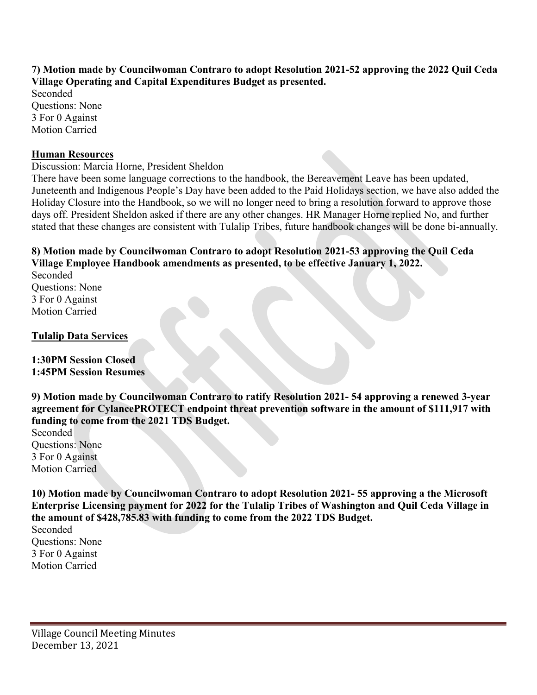**7) Motion made by Councilwoman Contraro to adopt Resolution 2021-52 approving the 2022 Quil Ceda Village Operating and Capital Expenditures Budget as presented.** 

Seconded Questions: None 3 For 0 Against Motion Carried

### **Human Resources**

Discussion: Marcia Horne, President Sheldon

There have been some language corrections to the handbook, the Bereavement Leave has been updated, Juneteenth and Indigenous People's Day have been added to the Paid Holidays section, we have also added the Holiday Closure into the Handbook, so we will no longer need to bring a resolution forward to approve those days off. President Sheldon asked if there are any other changes. HR Manager Horne replied No, and further stated that these changes are consistent with Tulalip Tribes, future handbook changes will be done bi-annually.

## **8) Motion made by Councilwoman Contraro to adopt Resolution 2021-53 approving the Quil Ceda Village Employee Handbook amendments as presented, to be effective January 1, 2022.**

Seconded Questions: None 3 For 0 Against Motion Carried

### **Tulalip Data Services**

**1:30PM Session Closed 1:45PM Session Resumes** 

**9) Motion made by Councilwoman Contraro to ratify Resolution 2021- 54 approving a renewed 3-year agreement for CylancePROTECT endpoint threat prevention software in the amount of \$111,917 with funding to come from the 2021 TDS Budget.** 

Seconded Questions: None 3 For 0 Against Motion Carried

**10) Motion made by Councilwoman Contraro to adopt Resolution 2021- 55 approving a the Microsoft Enterprise Licensing payment for 2022 for the Tulalip Tribes of Washington and Quil Ceda Village in the amount of \$428,785.83 with funding to come from the 2022 TDS Budget.** 

Seconded Questions: None 3 For 0 Against Motion Carried